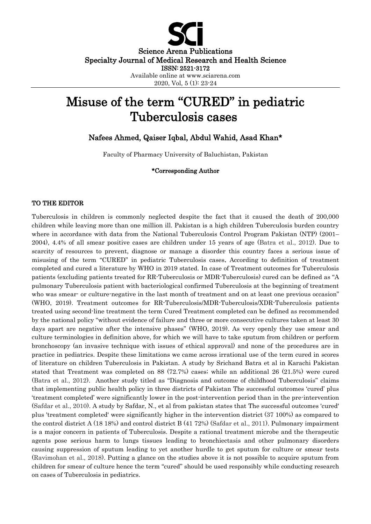

Science Arena Publications Specialty Journal of Medical Research and Health Science ISSN: 2521-3172 Available online at www.sciarena.com

2020, Vol, 5 (1): 23-24

## Misuse of the term "CURED" in pediatric Tuberculosis cases

Nafees Ahmed, Qaiser Iqbal, Abdul Wahid, Asad Khan\*

Faculty of Pharmacy University of Baluchistan, Pakistan

## \*Corresponding Author

## TO THE EDITOR

Tuberculosis in children is commonly neglected despite the fact that it caused the death of 200,000 children while leaving more than one million ill. Pakistan is a high children Tuberculosis burden country where in accordance with data from the National Tuberculosis Control Program Pakistan (NTP) (2001– 2004), 4.4% of all smear positive cases are children under 15 years of age (Batra et al., 2012). Due to scarcity of resources to prevent, diagnose or manage a disorder this country faces a serious issue of misusing of the term "CURED" in pediatric Tuberculosis cases. According to definition of treatment completed and cured a literature by WHO in 2019 stated. In case of Treatment outcomes for Tuberculosis patients (excluding patients treated for RR-Tuberculosis or MDR-Tuberculosis) cured can be defined as "A pulmonary Tuberculosis patient with bacteriological confirmed Tuberculosis at the beginning of treatment who was smear- or culture-negative in the last month of treatment and on at least one previous occasion" (WHO, 2019). Treatment outcomes for RR-Tuberculosis/MDR-Tuberculosis/XDR-Tuberculosis patients treated using second-line treatment the term Cured Treatment completed can be defined as recommended by the national policy "without evidence of failure and three or more consecutive cultures taken at least 30 days apart are negative after the intensive phases" (WHO, 2019). As very openly they use smear and culture terminologies in definition above, for which we will have to take sputum from children or perform bronchoscopy (an invasive technique with issues of ethical approval) and none of the procedures are in practice in pediatrics. Despite these limitations we came across irrational use of the term cured in scores of literature on children Tuberculosis in Pakistan. A study by Srichand Batra et al in Karachi Pakistan stated that Treatment was completed on 88 (72.7%) cases; while an additional 26 (21.5%) were cured (Batra et al., 2012). Another study titled as "Diagnosis and outcome of childhood Tuberculosis" claims that implementing public health policy in three districts of Pakistan The successful outcomes 'cured' plus 'treatment completed' were significantly lower in the post-intervention period than in the pre-intervention (Safdar et al., 2010). A study by Safdar, N., et al from pakistan states that The successful outcomes 'cured' plus 'treatment completed' were significantly higher in the intervention district (37 100%) as compared to the control district A (18 18%) and control district B (41 72%) (Safdar et al., 2011). Pulmonary impairment is a major concern in patients of Tuberculosis. Despite a rational treatment microbe and the therapeutic agents pose serious harm to lungs tissues leading to bronchiectasis and other pulmonary disorders causing suppression of sputum leading to yet another hurdle to get sputum for culture or smear tests (Ravimohan et al., 2018). Putting a glance on the studies above it is not possible to acquire sputum from children for smear of culture hence the term "cured" should be used responsibly while conducting research on cases of Tuberculosis in pediatrics.